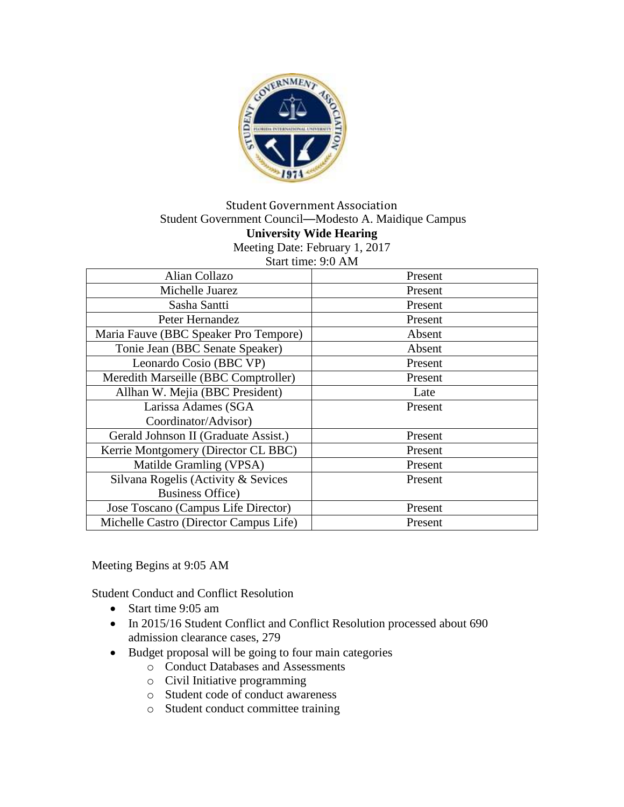

#### Student Government Association Student Government Council—Modesto A. Maidique Campus **University Wide Hearing** Meeting Date: February 1, 2017 Start time: 9:0 AM

| 0.000 UNIO. 7.07 M                     |         |
|----------------------------------------|---------|
| Alian Collazo                          | Present |
| Michelle Juarez                        | Present |
| Sasha Santti                           | Present |
| Peter Hernandez                        | Present |
| Maria Fauve (BBC Speaker Pro Tempore)  | Absent  |
| Tonie Jean (BBC Senate Speaker)        | Absent  |
| Leonardo Cosio (BBC VP)                | Present |
| Meredith Marseille (BBC Comptroller)   | Present |
| Allhan W. Mejia (BBC President)        | Late    |
| Larissa Adames (SGA                    | Present |
| Coordinator/Advisor)                   |         |
| Gerald Johnson II (Graduate Assist.)   | Present |
| Kerrie Montgomery (Director CL BBC)    | Present |
| Matilde Gramling (VPSA)                | Present |
| Silvana Rogelis (Activity & Sevices    | Present |
| <b>Business Office</b> )               |         |
| Jose Toscano (Campus Life Director)    | Present |
| Michelle Castro (Director Campus Life) | Present |

Meeting Begins at 9:05 AM

Student Conduct and Conflict Resolution

- Start time 9:05 am
- In 2015/16 Student Conflict and Conflict Resolution processed about 690 admission clearance cases, 279
- Budget proposal will be going to four main categories
	- o Conduct Databases and Assessments
	- o Civil Initiative programming
	- o Student code of conduct awareness
	- o Student conduct committee training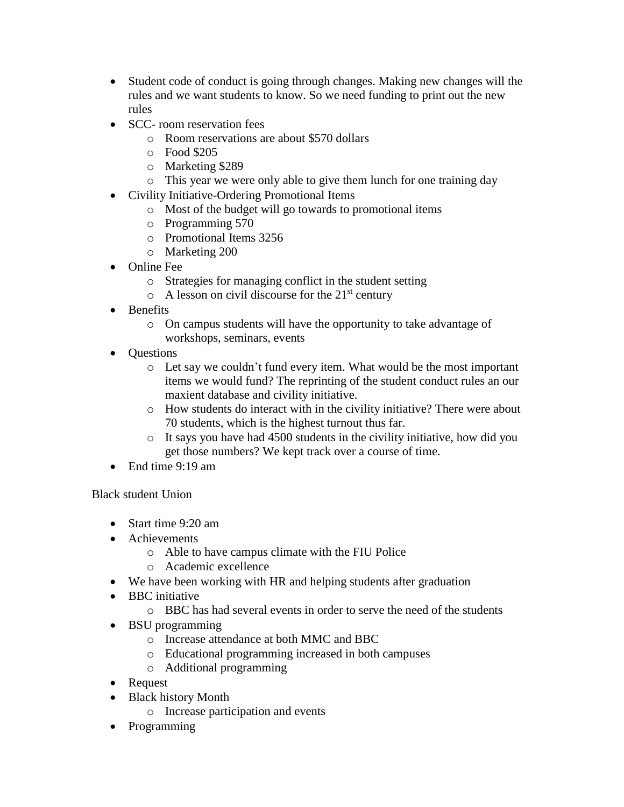- Student code of conduct is going through changes. Making new changes will the rules and we want students to know. So we need funding to print out the new rules
- SCC- room reservation fees
	- o Room reservations are about \$570 dollars
	- o Food \$205
	- o Marketing \$289
	- o This year we were only able to give them lunch for one training day
- Civility Initiative-Ordering Promotional Items
	- o Most of the budget will go towards to promotional items
	- o Programming 570
	- o Promotional Items 3256
	- o Marketing 200
- Online Fee
	- o Strategies for managing conflict in the student setting
	- $\circ$  A lesson on civil discourse for the 21<sup>st</sup> century
- Benefits
	- o On campus students will have the opportunity to take advantage of workshops, seminars, events
- Questions
	- o Let say we couldn't fund every item. What would be the most important items we would fund? The reprinting of the student conduct rules an our maxient database and civility initiative.
	- o How students do interact with in the civility initiative? There were about 70 students, which is the highest turnout thus far.
	- o It says you have had 4500 students in the civility initiative, how did you get those numbers? We kept track over a course of time.
- End time 9:19 am

Black student Union

- Start time 9:20 am
- Achievements
	- o Able to have campus climate with the FIU Police
	- o Academic excellence
- We have been working with HR and helping students after graduation
- BBC initiative
	- o BBC has had several events in order to serve the need of the students
- BSU programming
	- o Increase attendance at both MMC and BBC
	- o Educational programming increased in both campuses
	- o Additional programming
- Request
- Black history Month
	- o Increase participation and events
- Programming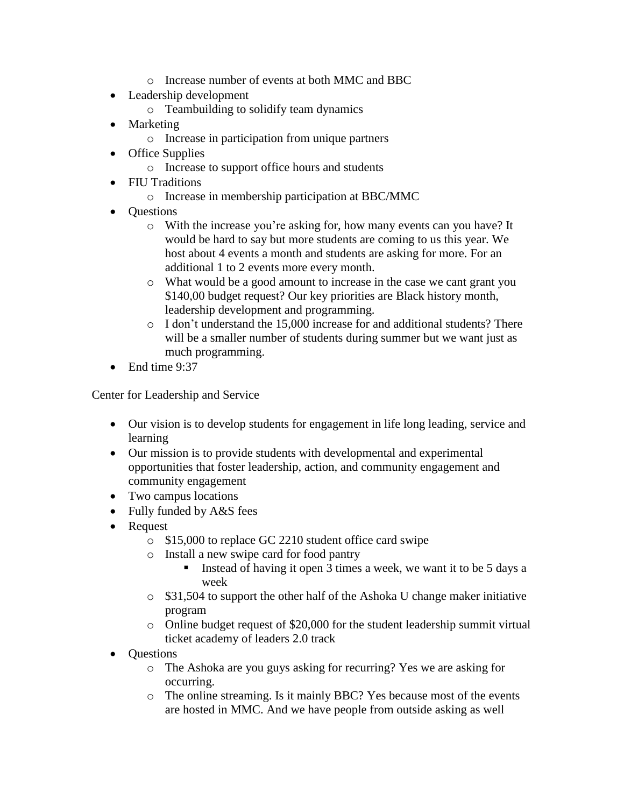- o Increase number of events at both MMC and BBC
- Leadership development
	- o Teambuilding to solidify team dynamics
- Marketing
	- o Increase in participation from unique partners
- Office Supplies
	- o Increase to support office hours and students
- FIU Traditions
	- o Increase in membership participation at BBC/MMC
- **Ouestions** 
	- o With the increase you're asking for, how many events can you have? It would be hard to say but more students are coming to us this year. We host about 4 events a month and students are asking for more. For an additional 1 to 2 events more every month.
	- o What would be a good amount to increase in the case we cant grant you \$140,00 budget request? Our key priorities are Black history month, leadership development and programming.
	- o I don't understand the 15,000 increase for and additional students? There will be a smaller number of students during summer but we want just as much programming.
- End time 9:37

Center for Leadership and Service

- Our vision is to develop students for engagement in life long leading, service and learning
- Our mission is to provide students with developmental and experimental opportunities that foster leadership, action, and community engagement and community engagement
- Two campus locations
- Fully funded by A&S fees
- Request
	- o \$15,000 to replace GC 2210 student office card swipe
	- o Install a new swipe card for food pantry
		- Instead of having it open 3 times a week, we want it to be 5 days a week
	- o \$31,504 to support the other half of the Ashoka U change maker initiative program
	- o Online budget request of \$20,000 for the student leadership summit virtual ticket academy of leaders 2.0 track
- Questions
	- o The Ashoka are you guys asking for recurring? Yes we are asking for occurring.
	- o The online streaming. Is it mainly BBC? Yes because most of the events are hosted in MMC. And we have people from outside asking as well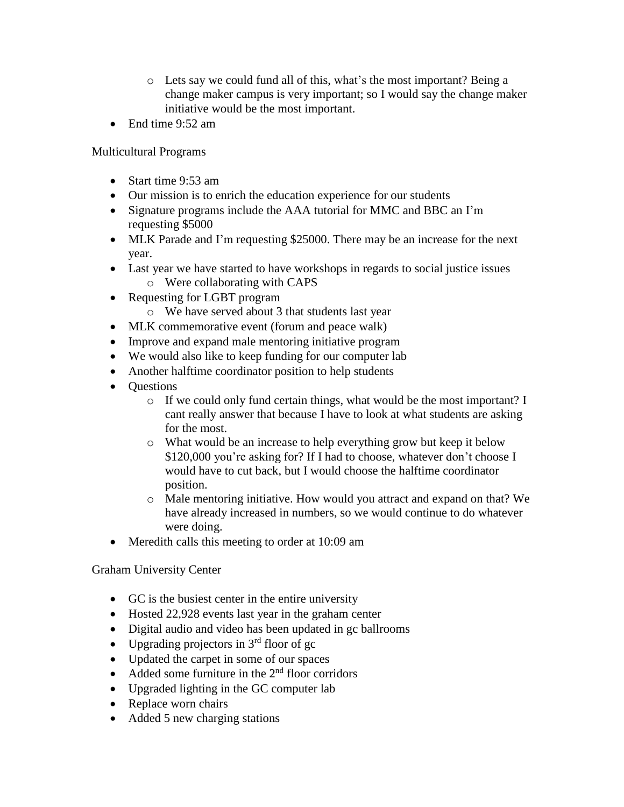- o Lets say we could fund all of this, what's the most important? Being a change maker campus is very important; so I would say the change maker initiative would be the most important.
- End time 9:52 am

Multicultural Programs

- Start time 9:53 am
- Our mission is to enrich the education experience for our students
- Signature programs include the AAA tutorial for MMC and BBC an I'm requesting \$5000
- MLK Parade and I'm requesting \$25000. There may be an increase for the next year.
- Last year we have started to have workshops in regards to social justice issues o Were collaborating with CAPS
- Requesting for LGBT program
	- o We have served about 3 that students last year
- MLK commemorative event (forum and peace walk)
- Improve and expand male mentoring initiative program
- We would also like to keep funding for our computer lab
- Another halftime coordinator position to help students
- Questions
	- o If we could only fund certain things, what would be the most important? I cant really answer that because I have to look at what students are asking for the most.
	- o What would be an increase to help everything grow but keep it below \$120,000 you're asking for? If I had to choose, whatever don't choose I would have to cut back, but I would choose the halftime coordinator position.
	- o Male mentoring initiative. How would you attract and expand on that? We have already increased in numbers, so we would continue to do whatever were doing.
- Meredith calls this meeting to order at 10:09 am

Graham University Center

- GC is the busiest center in the entire university
- Hosted 22,928 events last year in the graham center
- Digital audio and video has been updated in gc ballrooms
- Upgrading projectors in  $3<sup>rd</sup>$  floor of gc
- Updated the carpet in some of our spaces
- Added some furniture in the  $2<sup>nd</sup>$  floor corridors
- Upgraded lighting in the GC computer lab
- Replace worn chairs
- Added 5 new charging stations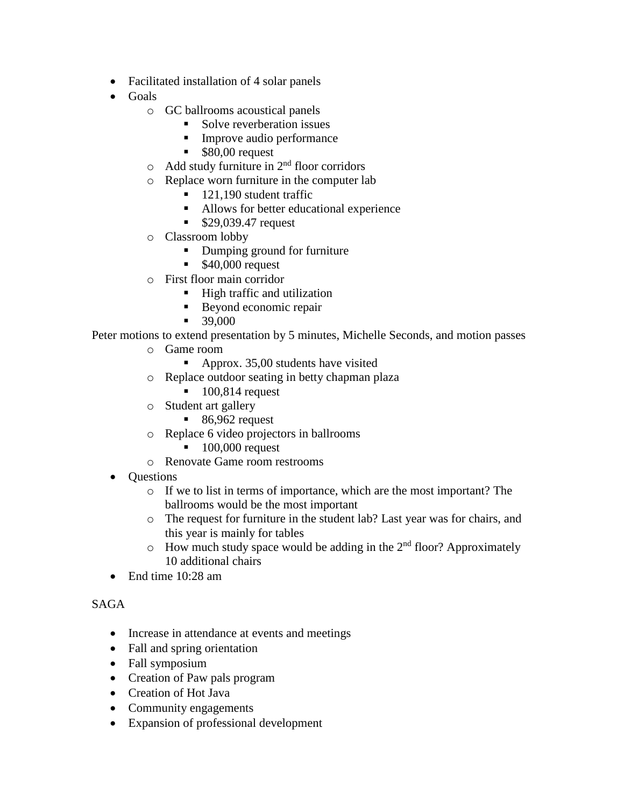- Facilitated installation of 4 solar panels
- Goals
	- o GC ballrooms acoustical panels
		- Solve reverberation issues
		- Improve audio performance
		- \$80,00 request
	- $\circ$  Add study furniture in 2<sup>nd</sup> floor corridors
	- o Replace worn furniture in the computer lab
		- $\blacksquare$  121,190 student traffic
		- Allows for better educational experience
		- \$29,039.47 request
	- o Classroom lobby
		- Dumping ground for furniture
		- \$40,000 request
	- o First floor main corridor
		- High traffic and utilization
		- Beyond economic repair
		- 39,000

Peter motions to extend presentation by 5 minutes, Michelle Seconds, and motion passes

- o Game room
	- Approx. 35,00 students have visited
- o Replace outdoor seating in betty chapman plaza
	- $\blacksquare$  100,814 request
- o Student art gallery
	- $\blacksquare$  86,962 request
- o Replace 6 video projectors in ballrooms
	- $\blacksquare$  100,000 request
- o Renovate Game room restrooms
- Questions
	- o If we to list in terms of importance, which are the most important? The ballrooms would be the most important
	- o The request for furniture in the student lab? Last year was for chairs, and this year is mainly for tables
	- $\circ$  How much study space would be adding in the  $2<sup>nd</sup>$  floor? Approximately 10 additional chairs
- End time 10:28 am

### SAGA

- Increase in attendance at events and meetings
- Fall and spring orientation
- Fall symposium
- Creation of Paw pals program
- Creation of Hot Java
- Community engagements
- Expansion of professional development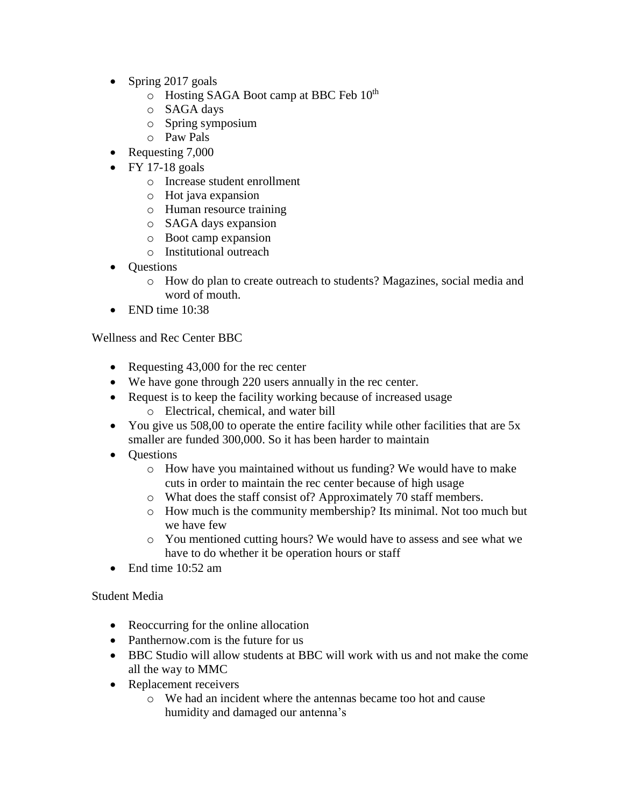- Spring 2017 goals
	- $\circ$  Hosting SAGA Boot camp at BBC Feb  $10^{th}$
	- o SAGA days
	- o Spring symposium
	- o Paw Pals
- Requesting 7,000
- $\bullet$  FY 17-18 goals
	- o Increase student enrollment
	- o Hot java expansion
	- o Human resource training
	- o SAGA days expansion
	- o Boot camp expansion
	- o Institutional outreach
- **Ouestions** 
	- o How do plan to create outreach to students? Magazines, social media and word of mouth.
- $\bullet$  END time  $10:38$

Wellness and Rec Center BBC

- Requesting 43,000 for the rec center
- We have gone through 220 users annually in the rec center.
- Request is to keep the facility working because of increased usage o Electrical, chemical, and water bill
- You give us 508,00 to operate the entire facility while other facilities that are 5x smaller are funded 300,000. So it has been harder to maintain
- Questions
	- o How have you maintained without us funding? We would have to make cuts in order to maintain the rec center because of high usage
	- o What does the staff consist of? Approximately 70 staff members.
	- o How much is the community membership? Its minimal. Not too much but we have few
	- o You mentioned cutting hours? We would have to assess and see what we have to do whether it be operation hours or staff
- End time 10:52 am

Student Media

- Reoccurring for the online allocation
- Panthernow.com is the future for us
- BBC Studio will allow students at BBC will work with us and not make the come all the way to MMC
- Replacement receivers
	- o We had an incident where the antennas became too hot and cause humidity and damaged our antenna's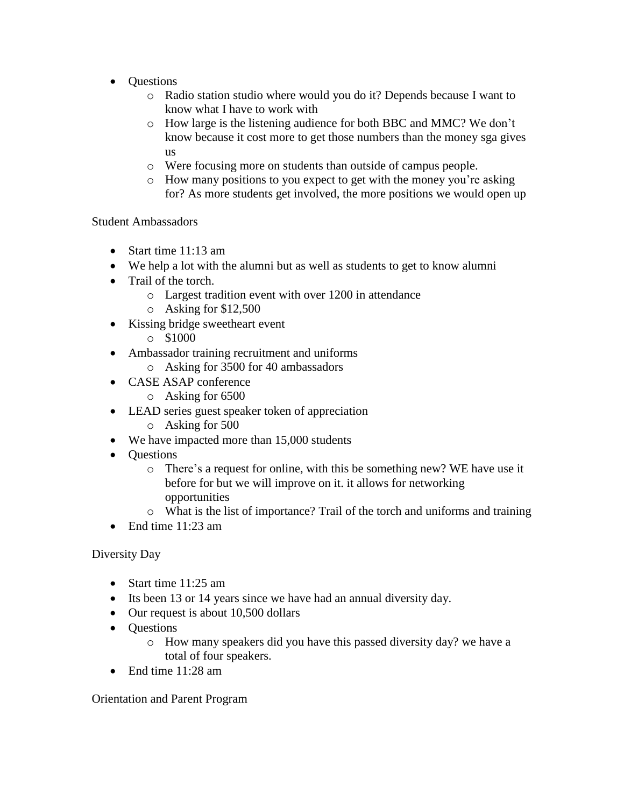- **Ouestions** 
	- o Radio station studio where would you do it? Depends because I want to know what I have to work with
	- o How large is the listening audience for both BBC and MMC? We don't know because it cost more to get those numbers than the money sga gives us
	- o Were focusing more on students than outside of campus people.
	- o How many positions to you expect to get with the money you're asking for? As more students get involved, the more positions we would open up

Student Ambassadors

- Start time 11:13 am
- We help a lot with the alumni but as well as students to get to know alumni
- Trail of the torch.
	- o Largest tradition event with over 1200 in attendance
	- o Asking for \$12,500
- Kissing bridge sweetheart event
	- $\circ$  \$1000
- Ambassador training recruitment and uniforms
	- o Asking for 3500 for 40 ambassadors
- CASE ASAP conference
	- o Asking for 6500
- LEAD series guest speaker token of appreciation
	- o Asking for 500
- We have impacted more than 15,000 students
- Questions
	- o There's a request for online, with this be something new? WE have use it before for but we will improve on it. it allows for networking opportunities
	- o What is the list of importance? Trail of the torch and uniforms and training
- End time 11:23 am

### Diversity Day

- Start time 11:25 am
- Its been 13 or 14 years since we have had an annual diversity day.
- Our request is about 10,500 dollars
- Questions
	- o How many speakers did you have this passed diversity day? we have a total of four speakers.
- End time 11:28 am

Orientation and Parent Program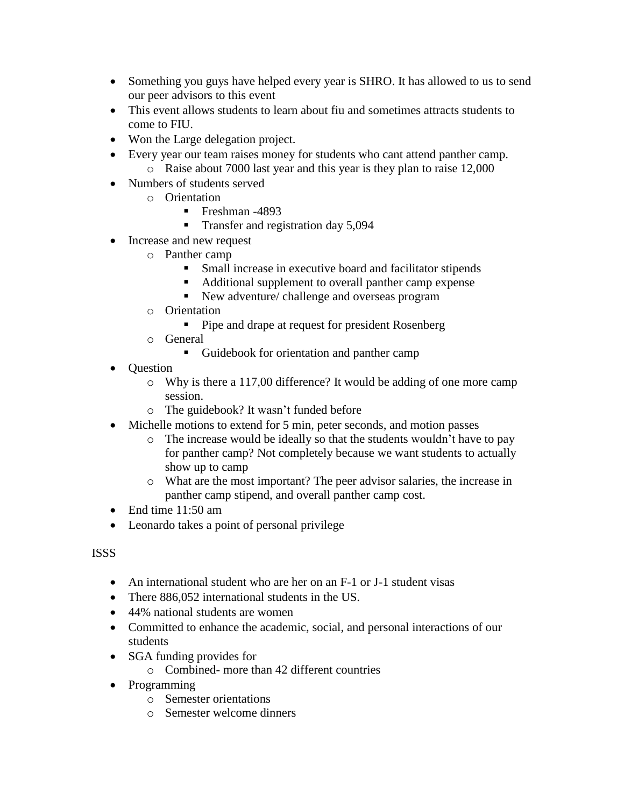- Something you guys have helped every year is SHRO. It has allowed to us to send our peer advisors to this event
- This event allows students to learn about fiu and sometimes attracts students to come to FIU.
- Won the Large delegation project.
- Every year our team raises money for students who cant attend panther camp. o Raise about 7000 last year and this year is they plan to raise 12,000
- Numbers of students served
	- o Orientation
		- Freshman -4893
		- Transfer and registration day 5,094
- Increase and new request
	- o Panther camp
		- Small increase in executive board and facilitator stipends
		- Additional supplement to overall panther camp expense
			- New adventure/ challenge and overseas program
	- o Orientation
		- Pipe and drape at request for president Rosenberg
	- o General
		- Guidebook for orientation and panther camp
- Question
	- o Why is there a 117,00 difference? It would be adding of one more camp session.
	- o The guidebook? It wasn't funded before
- Michelle motions to extend for 5 min, peter seconds, and motion passes
	- o The increase would be ideally so that the students wouldn't have to pay for panther camp? Not completely because we want students to actually show up to camp
	- o What are the most important? The peer advisor salaries, the increase in panther camp stipend, and overall panther camp cost.
- End time 11:50 am
- Leonardo takes a point of personal privilege

### ISSS

- An international student who are her on an F-1 or J-1 student visas
- There 886,052 international students in the US.
- 44% national students are women
- Committed to enhance the academic, social, and personal interactions of our students
- SGA funding provides for
	- o Combined- more than 42 different countries
- Programming
	- o Semester orientations
	- o Semester welcome dinners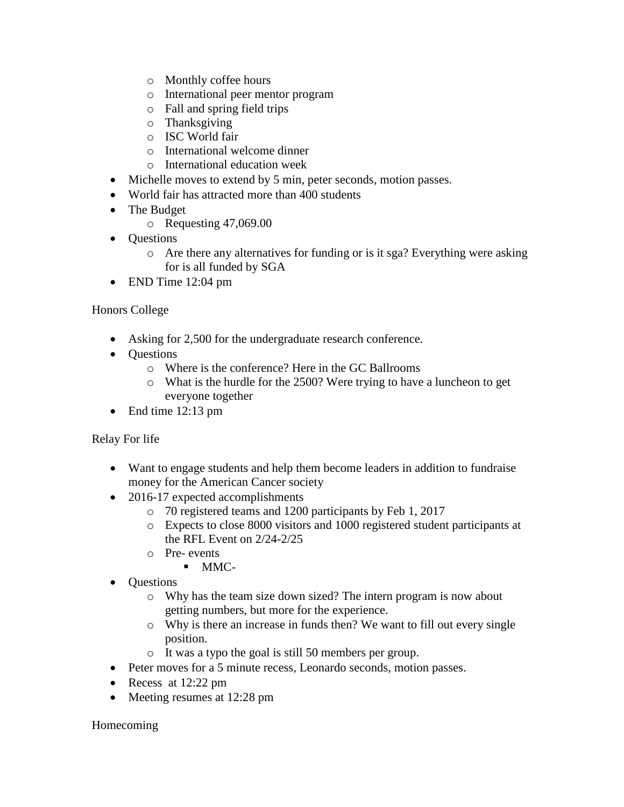- o Monthly coffee hours
- o International peer mentor program
- o Fall and spring field trips
- o Thanksgiving
- o ISC World fair
- o International welcome dinner
- o International education week
- Michelle moves to extend by 5 min, peter seconds, motion passes.
- World fair has attracted more than 400 students
- The Budget
	- o Requesting 47,069.00
- **Ouestions** 
	- o Are there any alternatives for funding or is it sga? Everything were asking for is all funded by SGA
- END Time 12:04 pm

### Honors College

- Asking for 2,500 for the undergraduate research conference.
- Questions
	- o Where is the conference? Here in the GC Ballrooms
	- o What is the hurdle for the 2500? Were trying to have a luncheon to get everyone together
- End time 12:13 pm

### Relay For life

- Want to engage students and help them become leaders in addition to fundraise money for the American Cancer society
- 2016-17 expected accomplishments
	- o 70 registered teams and 1200 participants by Feb 1, 2017
	- o Expects to close 8000 visitors and 1000 registered student participants at the RFL Event on 2/24-2/25
	- o Pre- events
		- MMC-
- Questions
	- o Why has the team size down sized? The intern program is now about getting numbers, but more for the experience.
	- o Why is there an increase in funds then? We want to fill out every single position.
	- o It was a typo the goal is still 50 members per group.
- Peter moves for a 5 minute recess, Leonardo seconds, motion passes.
- Recess at 12:22 pm
- Meeting resumes at 12:28 pm

### Homecoming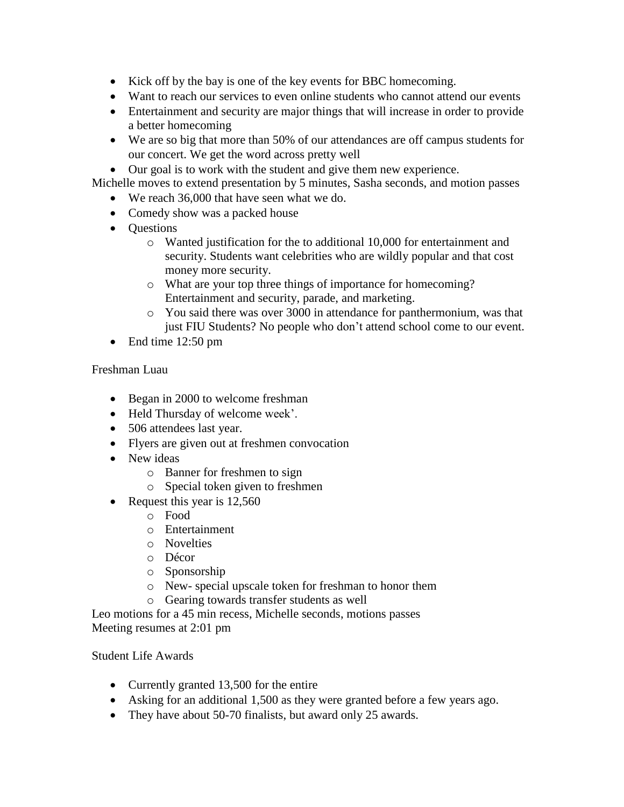- Kick off by the bay is one of the key events for BBC homecoming.
- Want to reach our services to even online students who cannot attend our events
- Entertainment and security are major things that will increase in order to provide a better homecoming
- We are so big that more than 50% of our attendances are off campus students for our concert. We get the word across pretty well

• Our goal is to work with the student and give them new experience.

Michelle moves to extend presentation by 5 minutes, Sasha seconds, and motion passes

- We reach 36,000 that have seen what we do.
- Comedy show was a packed house
- Questions
	- o Wanted justification for the to additional 10,000 for entertainment and security. Students want celebrities who are wildly popular and that cost money more security.
	- o What are your top three things of importance for homecoming? Entertainment and security, parade, and marketing.
	- o You said there was over 3000 in attendance for panthermonium, was that just FIU Students? No people who don't attend school come to our event.
- End time 12:50 pm

### Freshman Luau

- Began in 2000 to welcome freshman
- Held Thursday of welcome week'.
- 506 attendees last year.
- Flyers are given out at freshmen convocation
- New ideas
	- o Banner for freshmen to sign
	- o Special token given to freshmen
- Request this year is 12,560
	- o Food
	- o Entertainment
	- o Novelties
	- o Décor
	- o Sponsorship
	- o New- special upscale token for freshman to honor them
	- o Gearing towards transfer students as well

Leo motions for a 45 min recess, Michelle seconds, motions passes Meeting resumes at 2:01 pm

### Student Life Awards

- Currently granted 13,500 for the entire
- Asking for an additional 1,500 as they were granted before a few years ago.
- They have about 50-70 finalists, but award only 25 awards.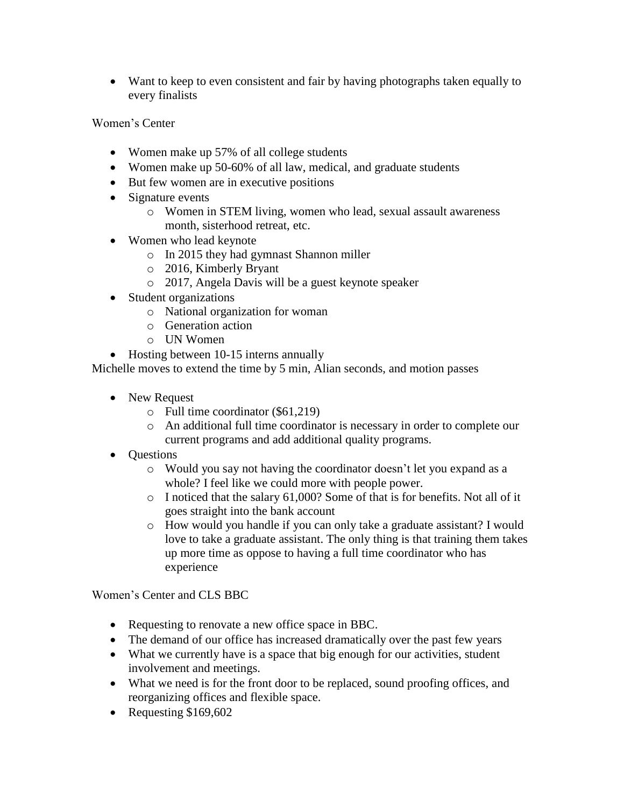• Want to keep to even consistent and fair by having photographs taken equally to every finalists

Women's Center

- Women make up 57% of all college students
- Women make up 50-60% of all law, medical, and graduate students
- But few women are in executive positions
- Signature events
	- o Women in STEM living, women who lead, sexual assault awareness month, sisterhood retreat, etc.
- Women who lead keynote
	- o In 2015 they had gymnast Shannon miller
	- o 2016, Kimberly Bryant
	- o 2017, Angela Davis will be a guest keynote speaker
- Student organizations
	- o National organization for woman
	- o Generation action
	- o UN Women
- Hosting between 10-15 interns annually

Michelle moves to extend the time by 5 min, Alian seconds, and motion passes

- New Request
	- o Full time coordinator (\$61,219)
	- o An additional full time coordinator is necessary in order to complete our current programs and add additional quality programs.
- Questions
	- o Would you say not having the coordinator doesn't let you expand as a whole? I feel like we could more with people power.
	- o I noticed that the salary 61,000? Some of that is for benefits. Not all of it goes straight into the bank account
	- o How would you handle if you can only take a graduate assistant? I would love to take a graduate assistant. The only thing is that training them takes up more time as oppose to having a full time coordinator who has experience

Women's Center and CLS BBC

- Requesting to renovate a new office space in BBC.
- The demand of our office has increased dramatically over the past few years
- What we currently have is a space that big enough for our activities, student involvement and meetings.
- What we need is for the front door to be replaced, sound proofing offices, and reorganizing offices and flexible space.
- Requesting \$169,602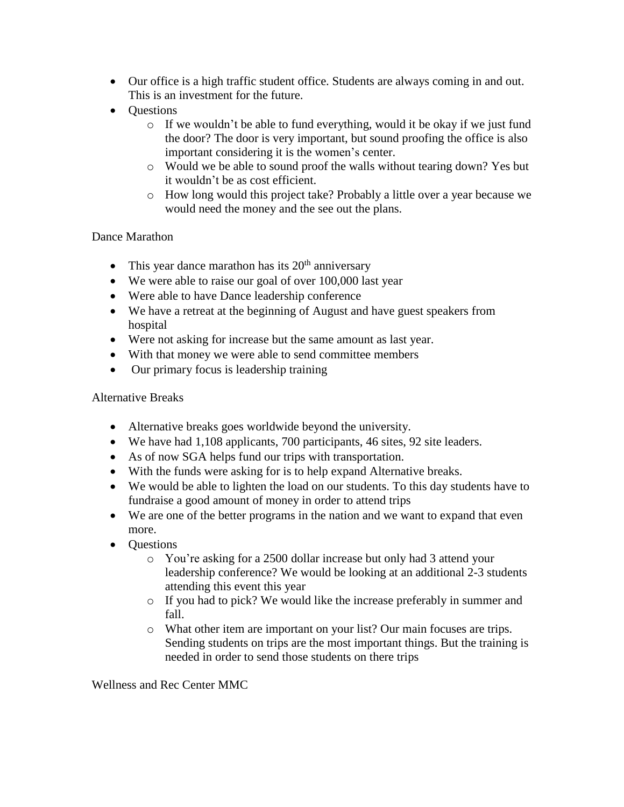- Our office is a high traffic student office. Students are always coming in and out. This is an investment for the future.
- **Ouestions** 
	- $\circ$  If we wouldn't be able to fund everything, would it be okay if we just fund the door? The door is very important, but sound proofing the office is also important considering it is the women's center.
	- o Would we be able to sound proof the walls without tearing down? Yes but it wouldn't be as cost efficient.
	- o How long would this project take? Probably a little over a year because we would need the money and the see out the plans.

#### Dance Marathon

- This year dance marathon has its  $20<sup>th</sup>$  anniversary
- We were able to raise our goal of over 100,000 last year
- Were able to have Dance leadership conference
- We have a retreat at the beginning of August and have guest speakers from hospital
- Were not asking for increase but the same amount as last year.
- With that money we were able to send committee members
- Our primary focus is leadership training

### Alternative Breaks

- Alternative breaks goes worldwide beyond the university.
- We have had 1,108 applicants, 700 participants, 46 sites, 92 site leaders.
- As of now SGA helps fund our trips with transportation.
- With the funds were asking for is to help expand Alternative breaks.
- We would be able to lighten the load on our students. To this day students have to fundraise a good amount of money in order to attend trips
- We are one of the better programs in the nation and we want to expand that even more.
- Questions
	- o You're asking for a 2500 dollar increase but only had 3 attend your leadership conference? We would be looking at an additional 2-3 students attending this event this year
	- o If you had to pick? We would like the increase preferably in summer and fall.
	- o What other item are important on your list? Our main focuses are trips. Sending students on trips are the most important things. But the training is needed in order to send those students on there trips

Wellness and Rec Center MMC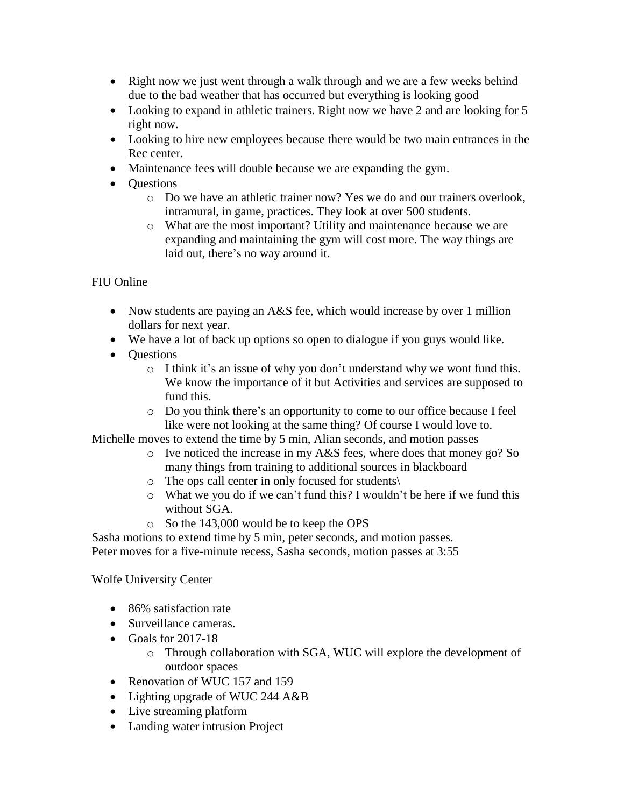- Right now we just went through a walk through and we are a few weeks behind due to the bad weather that has occurred but everything is looking good
- Looking to expand in athletic trainers. Right now we have 2 and are looking for 5 right now.
- Looking to hire new employees because there would be two main entrances in the Rec center.
- Maintenance fees will double because we are expanding the gym.
- Ouestions
	- o Do we have an athletic trainer now? Yes we do and our trainers overlook, intramural, in game, practices. They look at over 500 students.
	- o What are the most important? Utility and maintenance because we are expanding and maintaining the gym will cost more. The way things are laid out, there's no way around it.

### FIU Online

- Now students are paying an A&S fee, which would increase by over 1 million dollars for next year.
- We have a lot of back up options so open to dialogue if you guys would like.
- **Ouestions** 
	- o I think it's an issue of why you don't understand why we wont fund this. We know the importance of it but Activities and services are supposed to fund this.
	- o Do you think there's an opportunity to come to our office because I feel like were not looking at the same thing? Of course I would love to.

Michelle moves to extend the time by 5 min, Alian seconds, and motion passes

- o Ive noticed the increase in my A&S fees, where does that money go? So many things from training to additional sources in blackboard
- o The ops call center in only focused for students\
- o What we you do if we can't fund this? I wouldn't be here if we fund this without SGA.
- o So the 143,000 would be to keep the OPS

Sasha motions to extend time by 5 min, peter seconds, and motion passes. Peter moves for a five-minute recess, Sasha seconds, motion passes at 3:55

Wolfe University Center

- 86% satisfaction rate
- Surveillance cameras.
- Goals for 2017-18
	- o Through collaboration with SGA, WUC will explore the development of outdoor spaces
- Renovation of WUC 157 and 159
- Lighting upgrade of WUC 244 A&B
- Live streaming platform
- Landing water intrusion Project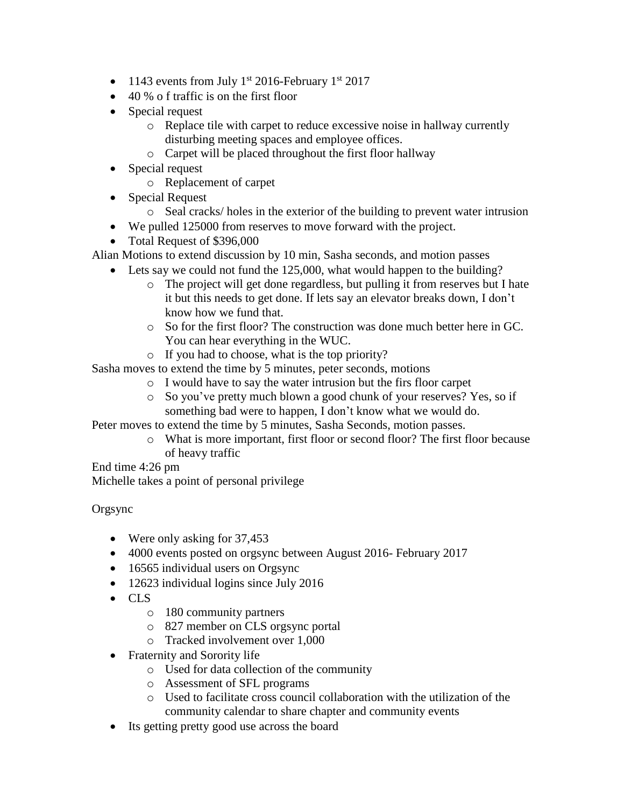- $\bullet$  1143 events from July 1<sup>st</sup> 2016-February 1<sup>st</sup> 2017
- 40 % o f traffic is on the first floor
- Special request
	- o Replace tile with carpet to reduce excessive noise in hallway currently disturbing meeting spaces and employee offices.
	- o Carpet will be placed throughout the first floor hallway
- Special request
	- o Replacement of carpet
- Special Request
	- o Seal cracks/ holes in the exterior of the building to prevent water intrusion
- We pulled 125000 from reserves to move forward with the project.
- Total Request of \$396,000

Alian Motions to extend discussion by 10 min, Sasha seconds, and motion passes

- Lets say we could not fund the 125,000, what would happen to the building?
	- o The project will get done regardless, but pulling it from reserves but I hate it but this needs to get done. If lets say an elevator breaks down, I don't know how we fund that.
	- o So for the first floor? The construction was done much better here in GC. You can hear everything in the WUC.
	- o If you had to choose, what is the top priority?

Sasha moves to extend the time by 5 minutes, peter seconds, motions

- o I would have to say the water intrusion but the firs floor carpet
- o So you've pretty much blown a good chunk of your reserves? Yes, so if something bad were to happen, I don't know what we would do.

Peter moves to extend the time by 5 minutes, Sasha Seconds, motion passes.

o What is more important, first floor or second floor? The first floor because of heavy traffic

End time 4:26 pm

Michelle takes a point of personal privilege

### Orgsync

- Were only asking for 37,453
- 4000 events posted on orgsync between August 2016- February 2017
- 16565 individual users on Orgsync
- 12623 individual logins since July 2016
- CLS
	- o 180 community partners
	- o 827 member on CLS orgsync portal
	- o Tracked involvement over 1,000
- Fraternity and Sorority life
	- o Used for data collection of the community
	- o Assessment of SFL programs
	- o Used to facilitate cross council collaboration with the utilization of the community calendar to share chapter and community events
- Its getting pretty good use across the board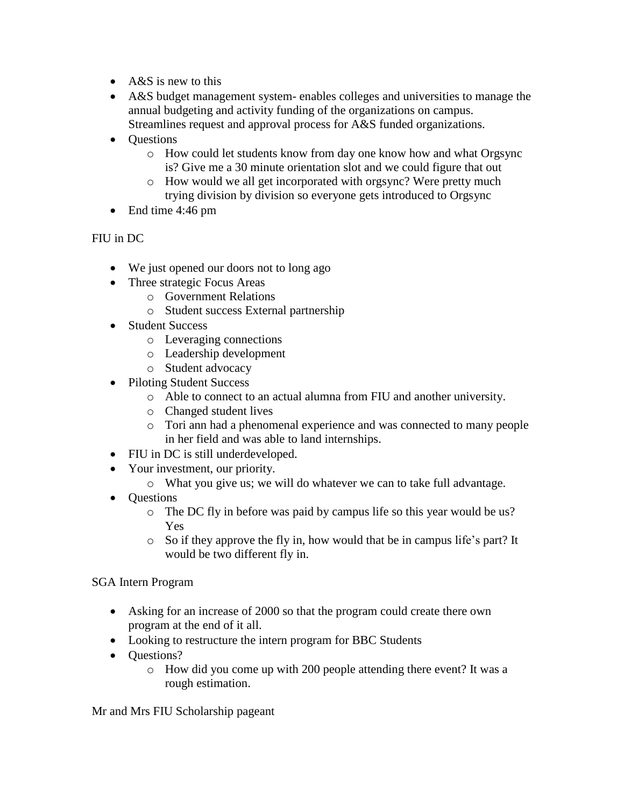- A&S is new to this
- A&S budget management system- enables colleges and universities to manage the annual budgeting and activity funding of the organizations on campus. Streamlines request and approval process for A&S funded organizations.
- Questions
	- o How could let students know from day one know how and what Orgsync is? Give me a 30 minute orientation slot and we could figure that out
	- o How would we all get incorporated with orgsync? Were pretty much trying division by division so everyone gets introduced to Orgsync
- End time 4:46 pm

## FIU in DC

- We just opened our doors not to long ago
- Three strategic Focus Areas
	- o Government Relations
	- o Student success External partnership
- Student Success
	- o Leveraging connections
	- o Leadership development
	- o Student advocacy
- Piloting Student Success
	- o Able to connect to an actual alumna from FIU and another university.
	- o Changed student lives
	- o Tori ann had a phenomenal experience and was connected to many people in her field and was able to land internships.
- FIU in DC is still underdeveloped.
- Your investment, our priority.
	- o What you give us; we will do whatever we can to take full advantage.
- Questions
	- o The DC fly in before was paid by campus life so this year would be us? Yes
	- o So if they approve the fly in, how would that be in campus life's part? It would be two different fly in.

### SGA Intern Program

- Asking for an increase of 2000 so that the program could create there own program at the end of it all.
- Looking to restructure the intern program for BBC Students
- Ouestions?
	- o How did you come up with 200 people attending there event? It was a rough estimation.

Mr and Mrs FIU Scholarship pageant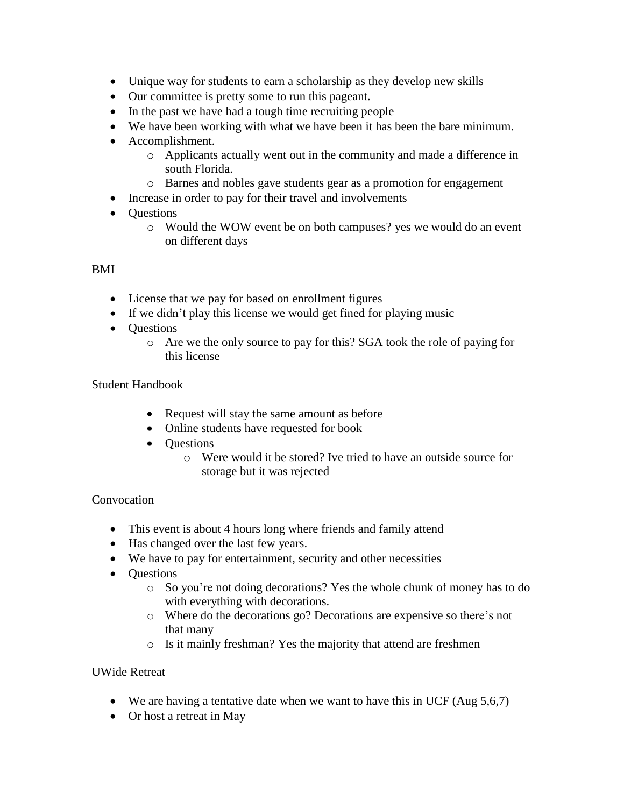- Unique way for students to earn a scholarship as they develop new skills
- Our committee is pretty some to run this pageant.
- In the past we have had a tough time recruiting people
- We have been working with what we have been it has been the bare minimum.
- Accomplishment.
	- o Applicants actually went out in the community and made a difference in south Florida.
	- o Barnes and nobles gave students gear as a promotion for engagement
- Increase in order to pay for their travel and involvements
- Questions
	- o Would the WOW event be on both campuses? yes we would do an event on different days

# BMI

- License that we pay for based on enrollment figures
- If we didn't play this license we would get fined for playing music
- **Ouestions** 
	- o Are we the only source to pay for this? SGA took the role of paying for this license

## Student Handbook

- Request will stay the same amount as before
- Online students have requested for book
- Questions
	- o Were would it be stored? Ive tried to have an outside source for storage but it was rejected

## Convocation

- This event is about 4 hours long where friends and family attend
- Has changed over the last few years.
- We have to pay for entertainment, security and other necessities
- **Ouestions** 
	- o So you're not doing decorations? Yes the whole chunk of money has to do with everything with decorations.
	- o Where do the decorations go? Decorations are expensive so there's not that many
	- o Is it mainly freshman? Yes the majority that attend are freshmen

## UWide Retreat

- We are having a tentative date when we want to have this in UCF (Aug 5,6,7)
- Or host a retreat in May